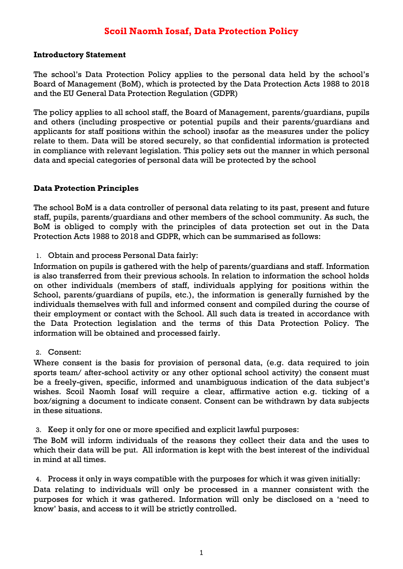# **Scoil Naomh Iosaf, Data Protection Policy**

### **Introductory Statement**

The school's Data Protection Policy applies to the personal data held by the school's Board of Management (BoM), which is protected by the Data Protection Acts 1988 to 2018 and the EU General Data Protection Regulation (GDPR)

The policy applies to all school staff, the Board of Management, parents/guardians, pupils and others (including prospective or potential pupils and their parents/guardians and applicants for staff positions within the school) insofar as the measures under the policy relate to them. Data will be stored securely, so that confidential information is protected in compliance with relevant legislation. This policy sets out the manner in which personal data and special categories of personal data will be protected by the school

## **Data Protection Principles**

The school BoM is a data controller of personal data relating to its past, present and future staff, pupils, parents/guardians and other members of the school community. As such, the BoM is obliged to comply with the principles of data protection set out in the Data Protection Acts 1988 to 2018 and GDPR, which can be summarised as follows:

1. Obtain and process Personal Data fairly:

Information on pupils is gathered with the help of parents/guardians and staff. Information is also transferred from their previous schools. In relation to information the school holds on other individuals (members of staff, individuals applying for positions within the School, parents/guardians of pupils, etc.), the information is generally furnished by the individuals themselves with full and informed consent and compiled during the course of their employment or contact with the School. All such data is treated in accordance with the Data Protection legislation and the terms of this Data Protection Policy. The information will be obtained and processed fairly.

2. Consent:

Where consent is the basis for provision of personal data, (e.g. data required to join sports team/ after-school activity or any other optional school activity) the consent must be a freely-given, specific, informed and unambiguous indication of the data subject's wishes. Scoil Naomh Iosaf will require a clear, affirmative action e.g. ticking of a box/signing a document to indicate consent. Consent can be withdrawn by data subjects in these situations.

3. Keep it only for one or more specified and explicit lawful purposes:

The BoM will inform individuals of the reasons they collect their data and the uses to which their data will be put. All information is kept with the best interest of the individual in mind at all times.

4. Process it only in ways compatible with the purposes for which it was given initially:

Data relating to individuals will only be processed in a manner consistent with the purposes for which it was gathered. Information will only be disclosed on a 'need to know' basis, and access to it will be strictly controlled.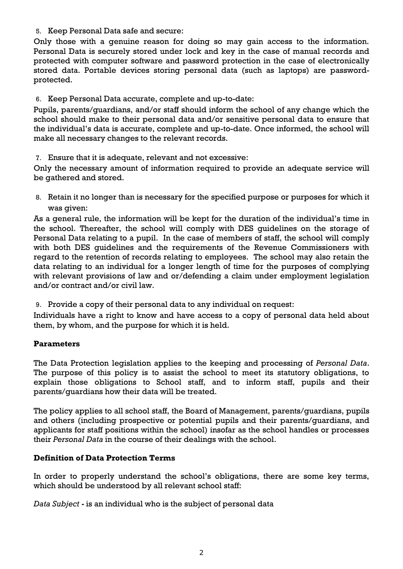5. Keep Personal Data safe and secure:

Only those with a genuine reason for doing so may gain access to the information. Personal Data is securely stored under lock and key in the case of manual records and protected with computer software and password protection in the case of electronically stored data. Portable devices storing personal data (such as laptops) are passwordprotected.

6. Keep Personal Data accurate, complete and up-to-date:

Pupils, parents/guardians, and/or staff should inform the school of any change which the school should make to their personal data and/or sensitive personal data to ensure that the individual's data is accurate, complete and up-to-date. Once informed, the school will make all necessary changes to the relevant records.

7. Ensure that it is adequate, relevant and not excessive:

Only the necessary amount of information required to provide an adequate service will be gathered and stored.

8. Retain it no longer than is necessary for the specified purpose or purposes for which it was given:

As a general rule, the information will be kept for the duration of the individual's time in the school. Thereafter, the school will comply with DES guidelines on the storage of Personal Data relating to a pupil. In the case of members of staff, the school will comply with both DES guidelines and the requirements of the Revenue Commissioners with regard to the retention of records relating to employees. The school may also retain the data relating to an individual for a longer length of time for the purposes of complying with relevant provisions of law and or/defending a claim under employment legislation and/or contract and/or civil law.

9. Provide a copy of their personal data to any individual on request:

Individuals have a right to know and have access to a copy of personal data held about them, by whom, and the purpose for which it is held.

## **Parameters**

The Data Protection legislation applies to the keeping and processing of *Personal Data*. The purpose of this policy is to assist the school to meet its statutory obligations, to explain those obligations to School staff, and to inform staff, pupils and their parents/guardians how their data will be treated.

The policy applies to all school staff, the Board of Management, parents/guardians, pupils and others (including prospective or potential pupils and their parents/guardians, and applicants for staff positions within the school) insofar as the school handles or processes their *Personal Data* in the course of their dealings with the school.

## **Definition of Data Protection Terms**

In order to properly understand the school's obligations, there are some key terms, which should be understood by all relevant school staff:

*Data Subject -* is an individual who is the subject of personal data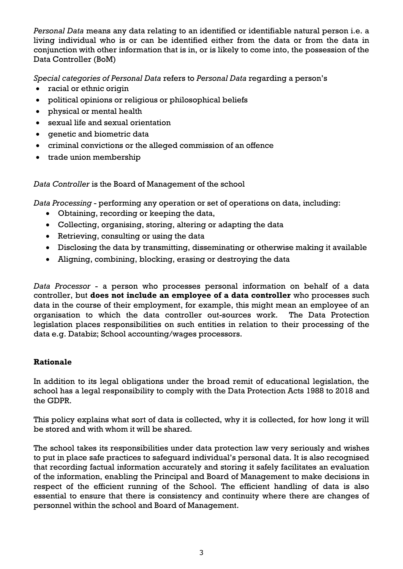*Personal Data* means any data relating to an identified or identifiable natural person i.e. a living individual who is or can be identified either from the data or from the data in conjunction with other information that is in, or is likely to come into, the possession of the Data Controller (BoM)

*Special categories of Personal Data* refers to *Personal Data* regarding a person's

- racial or ethnic origin
- political opinions or religious or philosophical beliefs
- physical or mental health
- sexual life and sexual orientation
- qenetic and biometric data
- criminal convictions or the alleged commission of an offence
- trade union membership

*Data Controller* is the Board of Management of the school

*Data Processing* - performing any operation or set of operations on data, including:

- Obtaining, recording or keeping the data,
- Collecting, organising, storing, altering or adapting the data
- Retrieving, consulting or using the data
- Disclosing the data by transmitting, disseminating or otherwise making it available
- Aligning, combining, blocking, erasing or destroying the data

*Data Processor* - a person who processes personal information on behalf of a data controller, but **does not include an employee of a data controller** who processes such data in the course of their employment, for example, this might mean an employee of an organisation to which the data controller out-sources work. The Data Protection legislation places responsibilities on such entities in relation to their processing of the data e.g. Databiz; School accounting/wages processors.

## **Rationale**

In addition to its legal obligations under the broad remit of educational legislation, the school has a legal responsibility to comply with the Data Protection Acts 1988 to 2018 and the GDPR.

This policy explains what sort of data is collected, why it is collected, for how long it will be stored and with whom it will be shared.

The school takes its responsibilities under data protection law very seriously and wishes to put in place safe practices to safeguard individual's personal data. It is also recognised that recording factual information accurately and storing it safely facilitates an evaluation of the information, enabling the Principal and Board of Management to make decisions in respect of the efficient running of the School. The efficient handling of data is also essential to ensure that there is consistency and continuity where there are changes of personnel within the school and Board of Management.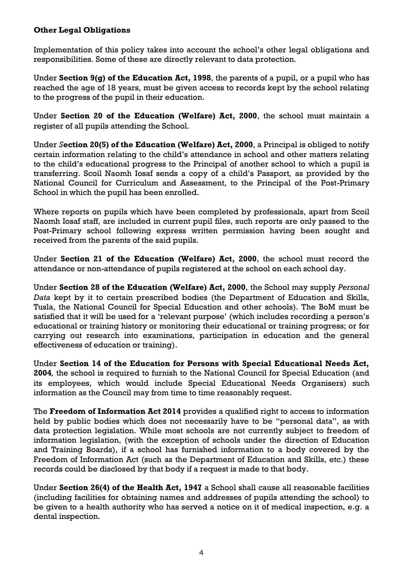## **Other Legal Obligations**

Implementation of this policy takes into account the school's other legal obligations and responsibilities. Some of these are directly relevant to data protection.

Under **Section 9(g) of the [Education Act, 1998](http://acts2.oireachtas.ie/zza51y1998.1.html)**, the parents of a pupil, or a pupil who has reached the age of 18 years, must be given access to records kept by the school relating to the progress of the pupil in their education.

Under **Section 20 of the [Education \(Welfare\) Act, 2000](http://www.oireachtas.ie/documents/bills28/acts/2000/a2200.pdf)**, the school must maintain a register of all pupils attending the School.

Under *S***ection 20(5) of the Education (Welfare) Act, 2000**, a Principal is obliged to notify certain information relating to the child's attendance in school and other matters relating to the child's educational progress to the Principal of another school to which a pupil is transferring. Scoil Naomh Iosaf sends a copy of a child's Passport*,* as provided by the National Council for Curriculum and Assessment, to the Principal of the Post-Primary School in which the pupil has been enrolled.

Where reports on pupils which have been completed by professionals, apart from Scoil Naomh Iosaf staff, are included in current pupil files, such reports are only passed to the Post-Primary school following express written permission having been sought and received from the parents of the said pupils.

Under **Section 21 of the [Education \(Welfare\) Act, 2000](http://www.oireachtas.ie/documents/bills28/acts/2000/a2200.pdf)**, the school must record the attendance or non-attendance of pupils registered at the school on each school day.

Under **Section 28 of the [Education \(Welfare\) Act, 2000](http://www.oireachtas.ie/documents/bills28/acts/2000/a2200.pdf)**, the School may supply *Personal Data* kept by it to certain prescribed bodies (the Department of Education and Skills, Tusla, the National Council for Special Education and other schools). The BoM must be satisfied that it will be used for a 'relevant purpose' (which includes recording a person's educational or training history or monitoring their educational or training progress; or for carrying out research into examinations, participation in education and the general effectiveness of education or training).

Under **Section 14 of the Education for Persons with Special Educational Needs Act, 2004***,* the school is required to furnish to the National Council for Special Education (and its employees, which would include Special Educational Needs Organisers) such information as the Council may from time to time reasonably request.

The **Freedom of Information Act 2014** provides a qualified right to access to information held by public bodies which does not necessarily have to be "personal data", as with data protection legislation. While most schools are not currently subject to freedom of information legislation, (with the exception of schools under the direction of Education and Training Boards), if a school has furnished information to a body covered by the Freedom of Information Act (such as the Department of Education and Skills, etc.) these records could be disclosed by that body if a request is made to that body.

Under **Section 26(4) of the Health Act, 1947** a School shall cause all reasonable facilities (including facilities for obtaining names and addresses of pupils attending the school) to be given to a health authority who has served a notice on it of medical inspection, e.g. a dental inspection.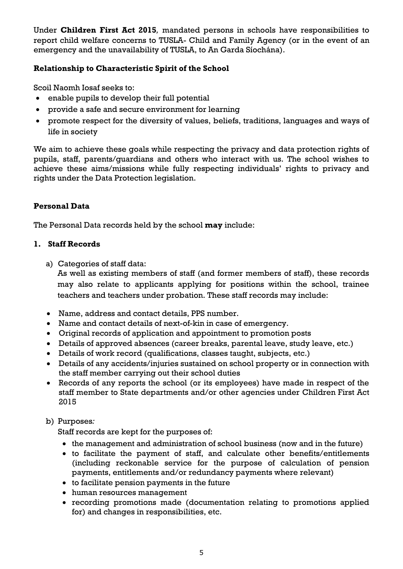Under **Children First Act 2015***,* mandated persons in schools have responsibilities to report child welfare concerns to TUSLA- Child and Family Agency (or in the event of an emergency and the unavailability of TUSLA, to An Garda Síochána).

# **Relationship to Characteristic Spirit of the School**

Scoil Naomh Iosaf seeks to:

- enable pupils to develop their full potential
- provide a safe and secure environment for learning
- promote respect for the diversity of values, beliefs, traditions, languages and ways of life in society

We aim to achieve these goals while respecting the privacy and data protection rights of pupils, staff, parents/guardians and others who interact with us. The school wishes to achieve these aims/missions while fully respecting individuals' rights to privacy and rights under the Data Protection legislation.

# **Personal Data**

The Personal Data records held by the school **may** include:

#### **1. Staff Records**

a) Categories of staff data:

As well as existing members of staff (and former members of staff), these records may also relate to applicants applying for positions within the school, trainee teachers and teachers under probation. These staff records may include:

- Name, address and contact details, PPS number.
- Name and contact details of next-of-kin in case of emergency.
- Original records of application and appointment to promotion posts
- Details of approved absences (career breaks, parental leave, study leave, etc.)
- Details of work record (qualifications, classes taught, subjects, etc.)
- Details of any accidents/injuries sustained on school property or in connection with the staff member carrying out their school duties
- Records of any reports the school (or its employees) have made in respect of the staff member to State departments and/or other agencies under Children First Act 2015

## b) Purposes*:*

Staff records are kept for the purposes of:

- the management and administration of school business (now and in the future)
- to facilitate the payment of staff, and calculate other benefits/entitlements (including reckonable service for the purpose of calculation of pension payments, entitlements and/or redundancy payments where relevant)
- to facilitate pension payments in the future
- human resources management
- recording promotions made (documentation relating to promotions applied for) and changes in responsibilities, etc.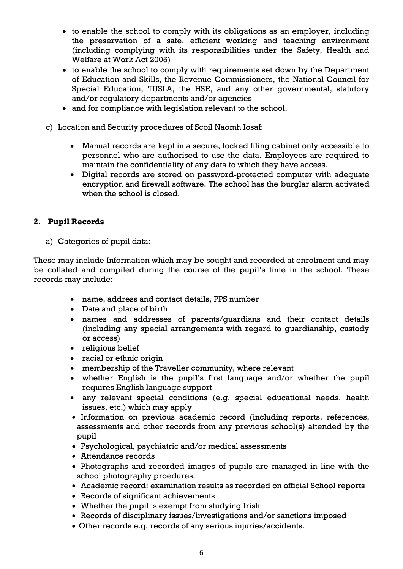- to enable the school to comply with its obligations as an employer, including the preservation of a safe, efficient working and teaching environment (including complying with its responsibilities under the Safety, Health and Welfare at Work Act 2005)
- to enable the school to comply with requirements set down by the Department of Education and Skills, the Revenue Commissioners, the National Council for Special Education, TUSLA, the HSE, and any other governmental, statutory and/or regulatory departments and/or agencies
- and for compliance with legislation relevant to the school.
- c) Location and Security procedures of Scoil Naomh Iosaf:
	- Manual records are kept in a secure, locked filing cabinet only accessible to personnel who are authorised to use the data. Employees are required to maintain the confidentiality of any data to which they have access.
	- Digital records are stored on password-protected computer with adequate encryption and firewall software. The school has the burglar alarm activated when the school is closed.

## **2. Pupil Records**

a) Categories of pupil data:

These may include Information which may be sought and recorded at enrolment and may be collated and compiled during the course of the pupil's time in the school. These records may include:

- name, address and contact details, PPS number
- Date and place of birth
- names and addresses of parents/guardians and their contact details (including any special arrangements with regard to guardianship, custody or access)
- religious belief
- racial or ethnic origin
- membership of the Traveller community, where relevant
- whether English is the pupil's first language and/or whether the pupil requires English language support
- any relevant special conditions (e.g. special educational needs, health issues, etc.) which may apply
- Information on previous academic record (including reports, references, assessments and other records from any previous school(s) attended by the pupil
- Psychological, psychiatric and/or medical assessments
- Attendance records
- Photographs and recorded images of pupils are managed in line with the school photography proedures.
- Academic record: examination results as recorded on official School reports
- Records of significant achievements
- Whether the pupil is exempt from studying Irish
- Records of disciplinary issues/investigations and/or sanctions imposed
- Other records e.g. records of any serious injuries/accidents.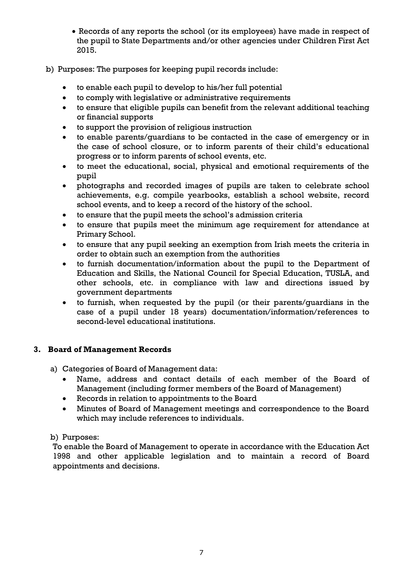- Records of any reports the school (or its employees) have made in respect of the pupil to State Departments and/or other agencies under Children First Act 2015.
- b) Purposes: The purposes for keeping pupil records include:
	- to enable each pupil to develop to his/her full potential
	- to comply with legislative or administrative requirements
	- to ensure that eligible pupils can benefit from the relevant additional teaching or financial supports
	- to support the provision of religious instruction
	- to enable parents/guardians to be contacted in the case of emergency or in the case of school closure, or to inform parents of their child's educational progress or to inform parents of school events, etc.
	- to meet the educational, social, physical and emotional requirements of the pupil
	- photographs and recorded images of pupils are taken to celebrate school achievements, e.g. compile yearbooks, establish a school website, record school events, and to keep a record of the history of the school.
	- to ensure that the pupil meets the school's admission criteria
	- to ensure that pupils meet the minimum age requirement for attendance at Primary School.
	- to ensure that any pupil seeking an exemption from Irish meets the criteria in order to obtain such an exemption from the authorities
	- to furnish documentation/information about the pupil to the Department of Education and Skills, the National Council for Special Education, TUSLA, and other schools, etc. in compliance with law and directions issued by government departments
	- to furnish, when requested by the pupil (or their parents/guardians in the case of a pupil under 18 years) documentation/information/references to second-level educational institutions.

## **3. Board of Management Records**

- a) Categories of Board of Management data:
	- Name, address and contact details of each member of the Board of Management (including former members of the Board of Management)
	- Records in relation to appointments to the Board
	- Minutes of Board of Management meetings and correspondence to the Board which may include references to individuals.

## b) Purposes:

To enable the Board of Management to operate in accordance with the Education Act 1998 and other applicable legislation and to maintain a record of Board appointments and decisions.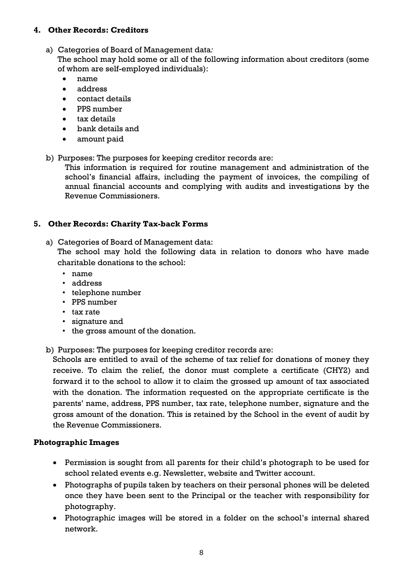## **4. Other Records: Creditors**

a) Categories of Board of Management data*:*

The school may hold some or all of the following information about creditors (some of whom are self-employed individuals):

- name
- address
- contact details
- PPS number
- tax details
- bank details and
- amount paid
- b) Purposes: The purposes for keeping creditor records are:

This information is required for routine management and administration of the school's financial affairs, including the payment of invoices, the compiling of annual financial accounts and complying with audits and investigations by the Revenue Commissioners.

## **5. Other Records: Charity Tax-back Forms**

a) Categories of Board of Management data:

The school may hold the following data in relation to donors who have made charitable donations to the school:

- name
- address
- telephone number
- PPS number
- tax rate
- signature and
- the gross amount of the donation.
- b) Purposes: The purposes for keeping creditor records are:

Schools are entitled to avail of the scheme of tax relief for donations of money they receive. To claim the relief, the donor must complete a certificate (CHY2) and forward it to the school to allow it to claim the grossed up amount of tax associated with the donation. The information requested on the appropriate certificate is the parents' name, address, PPS number, tax rate, telephone number, signature and the gross amount of the donation. This is retained by the School in the event of audit by the Revenue Commissioners.

## **Photographic Images**

- Permission is sought from all parents for their child's photograph to be used for school related events e.g. Newsletter, website and Twitter account.
- Photographs of pupils taken by teachers on their personal phones will be deleted once they have been sent to the Principal or the teacher with responsibility for photography.
- Photographic images will be stored in a folder on the school's internal shared network.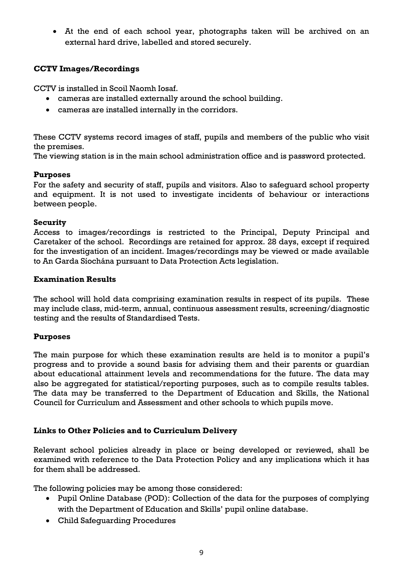At the end of each school year, photographs taken will be archived on an external hard drive, labelled and stored securely.

## **CCTV Images/Recordings**

CCTV is installed in Scoil Naomh Iosaf.

- cameras are installed externally around the school building.
- cameras are installed internally in the corridors.

These CCTV systems record images of staff, pupils and members of the public who visit the premises.

The viewing station is in the main school administration office and is password protected.

## **Purposes**

For the safety and security of staff, pupils and visitors. Also to safeguard school property and equipment. It is not used to investigate incidents of behaviour or interactions between people.

## **Security**

Access to images/recordings is restricted to the Principal, Deputy Principal and Caretaker of the school. Recordings are retained for approx. 28 days, except if required for the investigation of an incident. Images/recordings may be viewed or made available to An Garda Síochána pursuant to Data Protection Acts legislation.

## **Examination Results**

The school will hold data comprising examination results in respect of its pupils. These may include class, mid-term, annual, continuous assessment results, screening/diagnostic testing and the results of Standardised Tests.

# **Purposes**

The main purpose for which these examination results are held is to monitor a pupil's progress and to provide a sound basis for advising them and their parents or guardian about educational attainment levels and recommendations for the future. The data may also be aggregated for statistical/reporting purposes, such as to compile results tables. The data may be transferred to the Department of Education and Skills, the National Council for Curriculum and Assessment and other schools to which pupils move.

# **Links to Other Policies and to Curriculum Delivery**

Relevant school policies already in place or being developed or reviewed, shall be examined with reference to the Data Protection Policy and any implications which it has for them shall be addressed.

The following policies may be among those considered:

- Pupil Online Database (POD): Collection of the data for the purposes of complying with the Department of Education and Skills' pupil online database.
- Child Safeguarding Procedures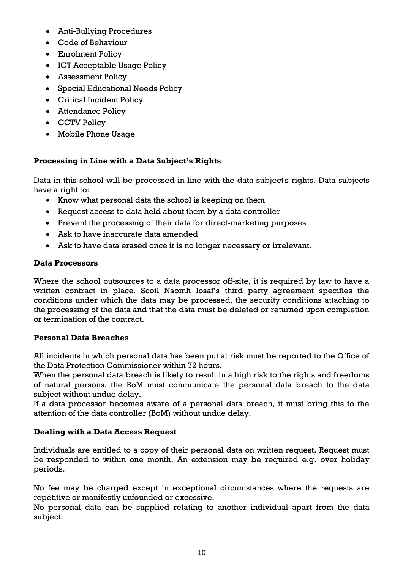- Anti-Bullying Procedures
- Code of Behaviour
- Enrolment Policy
- ICT Acceptable Usage Policy
- Assessment Policy
- Special Educational Needs Policy
- Critical Incident Policy
- Attendance Policy
- CCTV Policy
- Mobile Phone Usage

# **Processing in Line with a Data Subject's Rights**

Data in this school will be processed in line with the data subject's rights. Data subjects have a right to:

- Know what personal data the school is keeping on them
- Request access to data held about them by a data controller
- Prevent the processing of their data for direct-marketing purposes
- Ask to have inaccurate data amended
- Ask to have data erased once it is no longer necessary or irrelevant.

## **Data Processors**

Where the school outsources to a data processor off-site, it is required by law to have a written contract in place. Scoil Naomh Iosaf's third party agreement specifies the conditions under which the data may be processed, the security conditions attaching to the processing of the data and that the data must be deleted or returned upon completion or termination of the contract.

# **Personal Data Breaches**

All incidents in which personal data has been put at risk must be reported to the Office of the Data Protection Commissioner within 72 hours.

When the personal data breach is likely to result in a high risk to the rights and freedoms of natural persons, the BoM must communicate the personal data breach to the data subject without undue delay.

If a data processor becomes aware of a personal data breach, it must bring this to the attention of the data controller (BoM) without undue delay.

# **Dealing with a Data Access Request**

Individuals are entitled to a copy of their personal data on written request. Request must be responded to within one month. An extension may be required e.g. over holiday periods.

No fee may be charged except in exceptional circumstances where the requests are repetitive or manifestly unfounded or excessive.

No personal data can be supplied relating to another individual apart from the data subject.